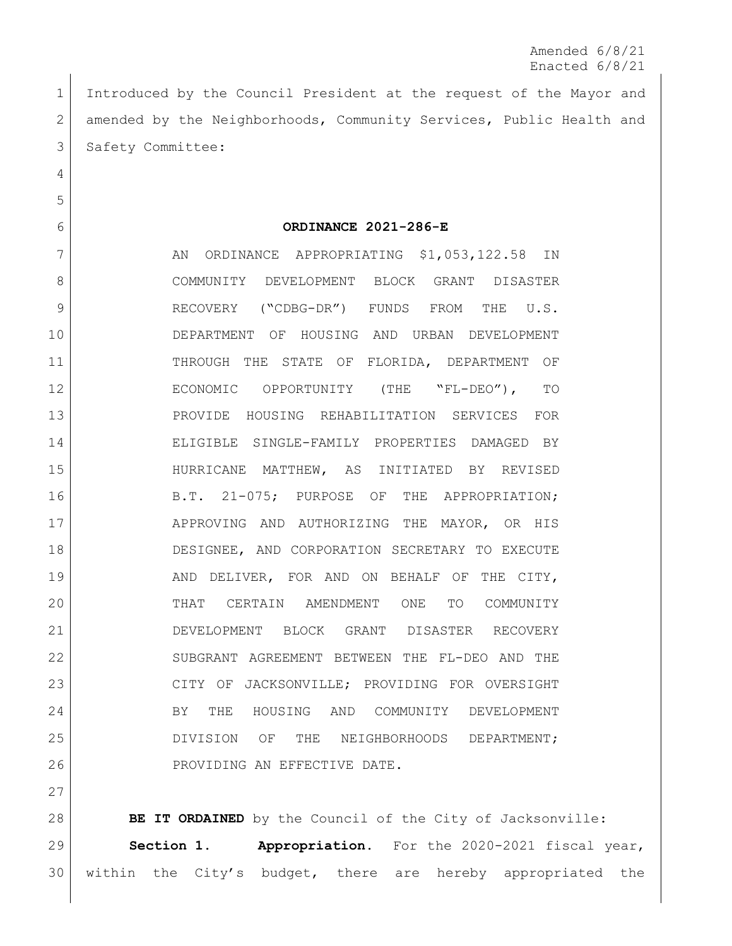Amended 6/8/21 Enacted 6/8/21

 Introduced by the Council President at the request of the Mayor and 2 amended by the Neighborhoods, Community Services, Public Health and 3 Safety Committee:

**ORDINANCE 2021-286-E**

7 AN ORDINANCE APPROPRIATING \$1,053,122.58 IN 8 COMMUNITY DEVELOPMENT BLOCK GRANT DISASTER 9 RECOVERY ("CDBG-DR") FUNDS FROM THE U.S. DEPARTMENT OF HOUSING AND URBAN DEVELOPMENT THROUGH THE STATE OF FLORIDA, DEPARTMENT OF ECONOMIC OPPORTUNITY (THE "FL-DEO"), TO PROVIDE HOUSING REHABILITATION SERVICES FOR ELIGIBLE SINGLE-FAMILY PROPERTIES DAMAGED BY HURRICANE MATTHEW, AS INITIATED BY REVISED 16 B.T. 21-075; PURPOSE OF THE APPROPRIATION; APPROVING AND AUTHORIZING THE MAYOR, OR HIS DESIGNEE, AND CORPORATION SECRETARY TO EXECUTE 19 | AND DELIVER, FOR AND ON BEHALF OF THE CITY, THAT CERTAIN AMENDMENT ONE TO COMMUNITY DEVELOPMENT BLOCK GRANT DISASTER RECOVERY SUBGRANT AGREEMENT BETWEEN THE FL-DEO AND THE 23 | CITY OF JACKSONVILLE; PROVIDING FOR OVERSIGHT 24 BY THE HOUSING AND COMMUNITY DEVELOPMENT DIVISION OF THE NEIGHBORHOODS DEPARTMENT; 26 PROVIDING AN EFFECTIVE DATE.

**BE IT ORDAINED** by the Council of the City of Jacksonville: **Section 1. Appropriation.** For the 2020-2021 fiscal year, within the City's budget, there are hereby appropriated the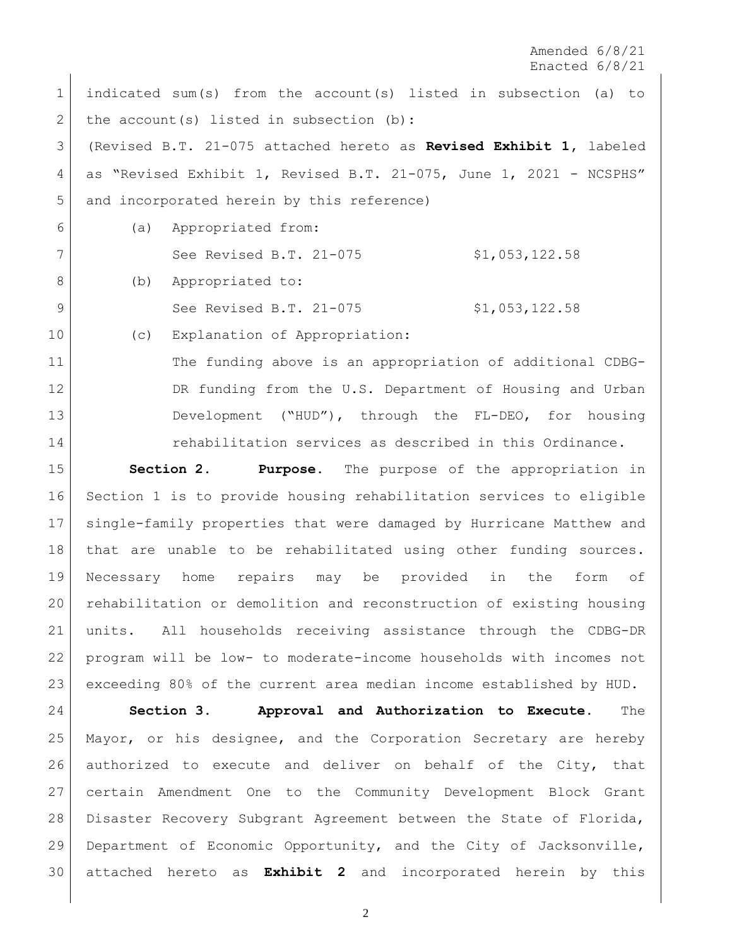Amended 6/8/21 Enacted 6/8/21

 indicated sum(s) from the account(s) listed in subsection (a) to 2 the account(s) listed in subsection (b): (Revised B.T. 21-075 attached hereto as **Revised Exhibit 1,** labeled 4 as "Revised Exhibit 1, Revised B.T. 21-075, June 1, 2021 - NCSPHS" and incorporated herein by this reference) (a) Appropriated from: See Revised B.T. 21-075 \$1,053,122.58 8 (b) Appropriated to: 9 See Revised B.T. 21-075 \$1,053,122.58 10 (c) Explanation of Appropriation:

 The funding above is an appropriation of additional CDBG-12 DR funding from the U.S. Department of Housing and Urban Development ("HUD"), through the FL-DEO, for housing 14 rehabilitation services as described in this Ordinance.

 **Section 2. Purpose.** The purpose of the appropriation in Section 1 is to provide housing rehabilitation services to eligible single-family properties that were damaged by Hurricane Matthew and that are unable to be rehabilitated using other funding sources. Necessary home repairs may be provided in the form of rehabilitation or demolition and reconstruction of existing housing units. All households receiving assistance through the CDBG-DR program will be low- to moderate-income households with incomes not exceeding 80% of the current area median income established by HUD.

 **Section 3. Approval and Authorization to Execute.** The Mayor, or his designee, and the Corporation Secretary are hereby authorized to execute and deliver on behalf of the City, that certain Amendment One to the Community Development Block Grant Disaster Recovery Subgrant Agreement between the State of Florida, Department of Economic Opportunity, and the City of Jacksonville, attached hereto as **Exhibit 2** and incorporated herein by this